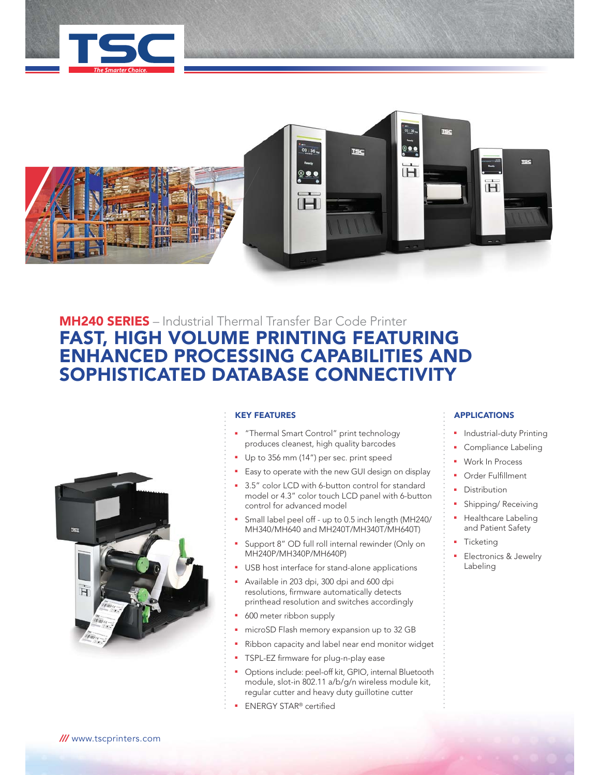



# **MH240 SERIES** – Industrial Thermal Transfer Bar Code Printer **FAST, HIGH VOLUME PRINTING FEATURING ENHANCED PROCESSING CAPABILITIES AND SOPHISTICATED DATABASE CONNECTIVITY**



### **KEY FEATURES**

- "Thermal Smart Control" print technology produces cleanest, high quality barcodes
- Up to 356 mm (14") per sec. print speed
- Easy to operate with the new GUI design on display
- 3.5" color LCD with 6-button control for standard model or 4.3" color touch LCD panel with 6-button control for advanced model
- Small label peel off up to 0.5 inch length (MH240/ MH340/MH640 and MH240T/MH340T/MH640T)
- Support 8" OD full roll internal rewinder (Only on MH240P/MH340P/MH640P)
- USB host interface for stand-alone applications
- <sup>Q</sup> Available in 203 dpi, 300 dpi and 600 dpi resolutions, firmware automatically detects printhead resolution and switches accordingly
- 600 meter ribbon supply
- **n** microSD Flash memory expansion up to 32 GB
- Ribbon capacity and label near end monitor widget
- **TSPL-EZ firmware for plug-n-play ease**
- <sup>Q</sup> Options include: peel-off kit, GPIO, internal Bluetooth module, slot-in 802.11 a/b/g/n wireless module kit, regular cutter and heavy duty guillotine cutter
- <sup>Q</sup> ENERGY STAR® certified

### **APPLICATIONS**

- Industrial-duty Printing
- Compliance Labeling
- **Work In Process**
- <sup>Q</sup> Order Fulfillment
- Distribution
- Shipping/ Receiving
- Healthcare Labeling and Patient Safety
- **Ticketing**
- Electronics & Jewelry Labeling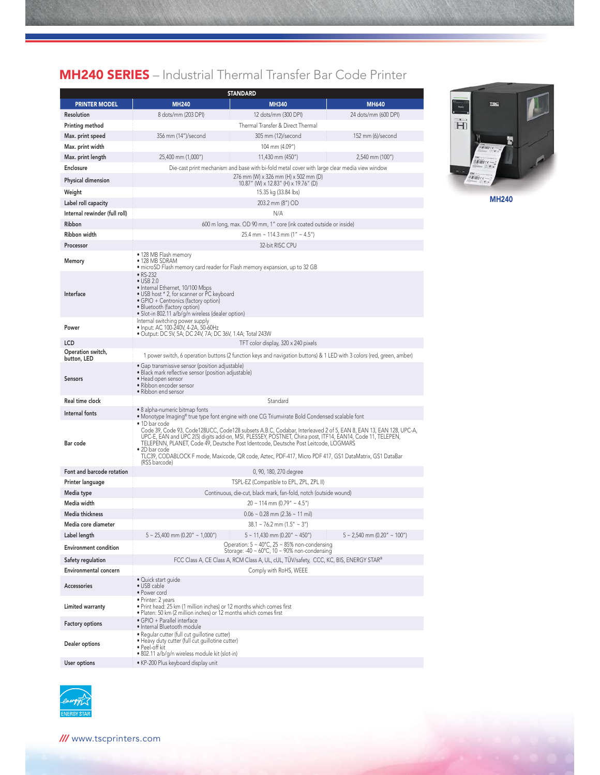# **MH240 SERIES** – Industrial Thermal Transfer Bar Code Printer

|                                  | <b>STANDARD</b>                                                                                                                                                                                                                                                                                                                                                                                                                                                                   |                                                                                                                                    |                                  |  |  |  |  |
|----------------------------------|-----------------------------------------------------------------------------------------------------------------------------------------------------------------------------------------------------------------------------------------------------------------------------------------------------------------------------------------------------------------------------------------------------------------------------------------------------------------------------------|------------------------------------------------------------------------------------------------------------------------------------|----------------------------------|--|--|--|--|
| <b>PRINTER MODEL</b>             | <b>MH240</b>                                                                                                                                                                                                                                                                                                                                                                                                                                                                      | <b>MH340</b>                                                                                                                       | <b>MH640</b>                     |  |  |  |  |
| Resolution                       | 8 dots/mm (203 DPI)                                                                                                                                                                                                                                                                                                                                                                                                                                                               | 12 dots/mm (300 DPI)                                                                                                               | 24 dots/mm (600 DPI)             |  |  |  |  |
| Printing method                  | Thermal Transfer & Direct Thermal                                                                                                                                                                                                                                                                                                                                                                                                                                                 |                                                                                                                                    |                                  |  |  |  |  |
| Max. print speed                 | 356 mm (14")/second                                                                                                                                                                                                                                                                                                                                                                                                                                                               | 305 mm (12)/second                                                                                                                 | 152 mm (6)/second                |  |  |  |  |
| Max. print width                 |                                                                                                                                                                                                                                                                                                                                                                                                                                                                                   | 104 mm (4.09")                                                                                                                     |                                  |  |  |  |  |
| Max. print length                | 25,400 mm (1,000")                                                                                                                                                                                                                                                                                                                                                                                                                                                                | 11,430 mm (450")                                                                                                                   | 2,540 mm (100")                  |  |  |  |  |
| Enclosure                        | Die-cast print mechanism and base with bi-fold metal cover with large clear media view window                                                                                                                                                                                                                                                                                                                                                                                     |                                                                                                                                    |                                  |  |  |  |  |
| Physical dimension               | 276 mm (W) x 326 mm (H) x 502 mm (D)<br>10.87" (W) x 12.83" (H) x 19.76" (D)                                                                                                                                                                                                                                                                                                                                                                                                      |                                                                                                                                    |                                  |  |  |  |  |
| Weight                           | 15.35 kg (33.84 lbs)                                                                                                                                                                                                                                                                                                                                                                                                                                                              |                                                                                                                                    |                                  |  |  |  |  |
| Label roll capacity              | 203.2 mm (8") OD                                                                                                                                                                                                                                                                                                                                                                                                                                                                  |                                                                                                                                    |                                  |  |  |  |  |
| Internal rewinder (full roll)    | N/A                                                                                                                                                                                                                                                                                                                                                                                                                                                                               |                                                                                                                                    |                                  |  |  |  |  |
| Ribbon                           | 600 m long, max. OD 90 mm, 1" core (ink coated outside or inside)                                                                                                                                                                                                                                                                                                                                                                                                                 |                                                                                                                                    |                                  |  |  |  |  |
| Ribbon width                     | 25.4 mm ~ 114.3 mm (1" ~ 4.5")                                                                                                                                                                                                                                                                                                                                                                                                                                                    |                                                                                                                                    |                                  |  |  |  |  |
| Processor                        |                                                                                                                                                                                                                                                                                                                                                                                                                                                                                   | 32-bit RISC CPU                                                                                                                    |                                  |  |  |  |  |
| Memory                           | • 128 MB Flash memory<br>$\bullet$ 128 MB SDRAM<br>• microSD Flash memory card reader for Flash memory expansion, up to 32 GB                                                                                                                                                                                                                                                                                                                                                     |                                                                                                                                    |                                  |  |  |  |  |
| Interface                        | • RS-232<br>$\bullet$ USB 2.0<br>• Internal Ethernet, 10/100 Mbps<br>• USB host * 2, for scanner or PC keyboard<br>• GPIO + Centronics (factory option)<br>· Bluetooth (factory option)<br>• Slot-in 802.11 a/b/g/n wireless (dealer option)                                                                                                                                                                                                                                      |                                                                                                                                    |                                  |  |  |  |  |
| Power                            | Internal switching power supply<br>· Input: AC 100-240V, 4-2A, 50-60Hz<br>• Output: DC 5V, 5A; DC 24V, 7A; DC 36V, 1.4A; Total 243W                                                                                                                                                                                                                                                                                                                                               |                                                                                                                                    |                                  |  |  |  |  |
| LCD                              | TFT color display, 320 x 240 pixels                                                                                                                                                                                                                                                                                                                                                                                                                                               |                                                                                                                                    |                                  |  |  |  |  |
| Operation switch,<br>button, LED |                                                                                                                                                                                                                                                                                                                                                                                                                                                                                   | 1 power switch, 6 operation buttons (2 function keys and navigation buttons) & 1 LED with 3 colors (red, green, amber)             |                                  |  |  |  |  |
| <b>Sensors</b>                   | • Gap transmissive sensor (position adjustable)<br>• Black mark reflective sensor (position adjustable)<br>• Head open sensor<br>• Ribbon encoder sensor<br>• Ribbon end sensor                                                                                                                                                                                                                                                                                                   |                                                                                                                                    |                                  |  |  |  |  |
| Real time clock                  |                                                                                                                                                                                                                                                                                                                                                                                                                                                                                   | Standard                                                                                                                           |                                  |  |  |  |  |
| Internal fonts                   | • 8 alpha-numeric bitmap fonts<br>• Monotype Imaging® true type font engine with one CG Triumvirate Bold Condensed scalable font                                                                                                                                                                                                                                                                                                                                                  |                                                                                                                                    |                                  |  |  |  |  |
| Bar code                         | • 1D bar code<br>Code 39, Code 93, Code128UCC, Code128 subsets A.B.C, Codabar, Interleaved 2 of 5, EAN 8, EAN 13, EAN 128, UPC-A,<br>UPC-E, EAN and UPC 2(5) digits add-on, MSI, PLESSEY, POSTNET, China post, ITF14, EAN14, Code 11, TELEPEN,<br>TELEPENN, PLANET, Code 49, Deutsche Post Identcode, Deutsche Post Leitcode, LOGMARS<br>• 2D bar code<br>TLC39, CODABLOCK F mode, Maxicode, QR code, Aztec, PDF-417, Micro PDF 417, GS1 DataMatrix, GS1 DataBar<br>(RSS barcode) |                                                                                                                                    |                                  |  |  |  |  |
| Font and barcode rotation        |                                                                                                                                                                                                                                                                                                                                                                                                                                                                                   | 0, 90, 180, 270 degree                                                                                                             |                                  |  |  |  |  |
| Printer language                 | TSPL-EZ (Compatible to EPL, ZPL, ZPL II)                                                                                                                                                                                                                                                                                                                                                                                                                                          |                                                                                                                                    |                                  |  |  |  |  |
| Media type                       | Continuous, die-cut, black mark, fan-fold, notch (outside wound)                                                                                                                                                                                                                                                                                                                                                                                                                  |                                                                                                                                    |                                  |  |  |  |  |
| Media width                      | $20 \sim 114$ mm (0.79" ~ 4.5")                                                                                                                                                                                                                                                                                                                                                                                                                                                   |                                                                                                                                    |                                  |  |  |  |  |
| Media thickness                  | $0.06 \sim 0.28$ mm (2.36 ~ 11 mil)                                                                                                                                                                                                                                                                                                                                                                                                                                               |                                                                                                                                    |                                  |  |  |  |  |
| Media core diameter              |                                                                                                                                                                                                                                                                                                                                                                                                                                                                                   | $38.1 \sim 76.2$ mm (1.5" ~ 3")                                                                                                    |                                  |  |  |  |  |
| Label length                     | $5 \sim 25,400$ mm (0.20" ~ 1,000")                                                                                                                                                                                                                                                                                                                                                                                                                                               | $5 \sim 11,430$ mm (0.20" ~ 450")                                                                                                  | $5 \sim 2,540$ mm (0.20" ~ 100") |  |  |  |  |
| <b>Environment condition</b>     |                                                                                                                                                                                                                                                                                                                                                                                                                                                                                   | Operation: $5 \sim 40^{\circ}$ C, 25 $\sim 85\%$ non-condensing<br>Storage: $-40 \sim 60^{\circ}$ C, $10 \sim 90\%$ non-condensing |                                  |  |  |  |  |
| Safety regulation                |                                                                                                                                                                                                                                                                                                                                                                                                                                                                                   | FCC Class A, CE Class A, RCM Class A, UL, cUL, TUV/safety,  CCC, KC, BIS, ENERGY STAR®                                             |                                  |  |  |  |  |
| <b>Environmental concern</b>     |                                                                                                                                                                                                                                                                                                                                                                                                                                                                                   | Comply with RoHS, WEEE                                                                                                             |                                  |  |  |  |  |
| Accessories                      | • Quick start quide<br>• USB cable<br>• Power cord                                                                                                                                                                                                                                                                                                                                                                                                                                |                                                                                                                                    |                                  |  |  |  |  |
| Limited warranty                 | • Printer: 2 years<br>. Print head: 25 km (1 million inches) or 12 months which comes first<br>. Platen: 50 km (2 million inches) or 12 months which comes first                                                                                                                                                                                                                                                                                                                  |                                                                                                                                    |                                  |  |  |  |  |
| <b>Factory options</b>           | · GPIO + Parallel interface<br>· Internal Bluetooth module                                                                                                                                                                                                                                                                                                                                                                                                                        |                                                                                                                                    |                                  |  |  |  |  |
| Dealer options                   | · Regular cutter (full cut guillotine cutter)<br>. Heavy duty cutter (full cut guillotine cutter)<br>• Peel-off kit<br>· 802.11 a/b/g/n wireless module kit (slot-in)                                                                                                                                                                                                                                                                                                             |                                                                                                                                    |                                  |  |  |  |  |
| User options                     | · KP-200 Plus keyboard display unit                                                                                                                                                                                                                                                                                                                                                                                                                                               |                                                                                                                                    |                                  |  |  |  |  |
|                                  |                                                                                                                                                                                                                                                                                                                                                                                                                                                                                   |                                                                                                                                    |                                  |  |  |  |  |



**MH240**

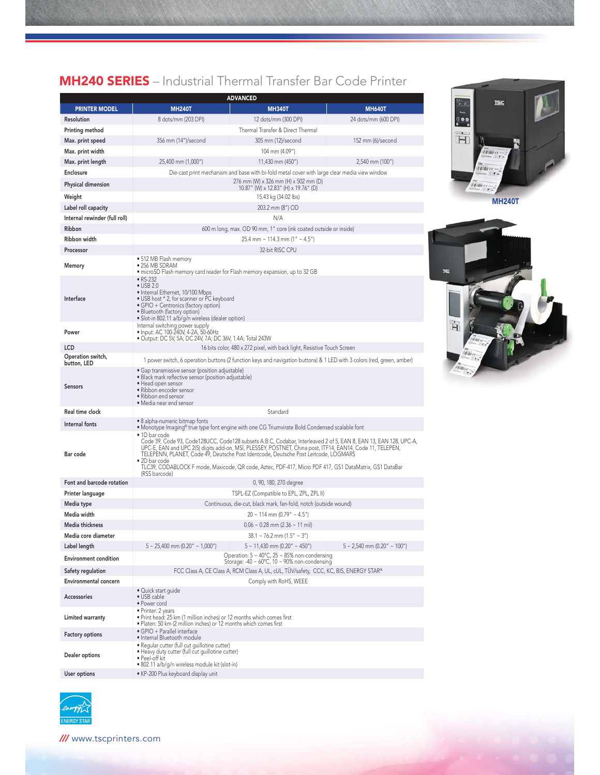## **MH240 SERIES** – Industrial Thermal Transfer Bar Code Printer

| <b>ADVANCED</b>                  |                                                                                                                                                                                                                                                                                                                                                                                                                                                                                                                                                                                             |                                                                                                        |                                  |  |  |  |
|----------------------------------|---------------------------------------------------------------------------------------------------------------------------------------------------------------------------------------------------------------------------------------------------------------------------------------------------------------------------------------------------------------------------------------------------------------------------------------------------------------------------------------------------------------------------------------------------------------------------------------------|--------------------------------------------------------------------------------------------------------|----------------------------------|--|--|--|
| <b>PRINTER MODEL</b>             | <b>MH240T</b>                                                                                                                                                                                                                                                                                                                                                                                                                                                                                                                                                                               | <b>MH340T</b>                                                                                          | <b>MH640T</b>                    |  |  |  |
| Resolution                       | 8 dots/mm (203 DPI)                                                                                                                                                                                                                                                                                                                                                                                                                                                                                                                                                                         | 12 dots/mm (300 DPI)                                                                                   | 24 dots/mm (600 DPI)             |  |  |  |
| Printing method                  |                                                                                                                                                                                                                                                                                                                                                                                                                                                                                                                                                                                             | Thermal Transfer & Direct Thermal                                                                      |                                  |  |  |  |
| Max. print speed                 | 356 mm (14")/second                                                                                                                                                                                                                                                                                                                                                                                                                                                                                                                                                                         | 305 mm (12)/second                                                                                     | 152 mm (6)/second                |  |  |  |
| Max. print width                 |                                                                                                                                                                                                                                                                                                                                                                                                                                                                                                                                                                                             | 104 mm (4.09")                                                                                         |                                  |  |  |  |
| Max. print length                | 25,400 mm (1,000")                                                                                                                                                                                                                                                                                                                                                                                                                                                                                                                                                                          | 11.430 mm (450")                                                                                       | 2,540 mm (100")                  |  |  |  |
| Enclosure                        |                                                                                                                                                                                                                                                                                                                                                                                                                                                                                                                                                                                             | Die-cast print mechanism and base with bi-fold metal cover with large clear media view window          |                                  |  |  |  |
| Physical dimension               | 276 mm (W) x 326 mm (H) x 502 mm (D)<br>10.87" (W) x 12.83" (H) x 19.76" (D)                                                                                                                                                                                                                                                                                                                                                                                                                                                                                                                |                                                                                                        |                                  |  |  |  |
| Weight                           | 15.43 kg (34.02 lbs)                                                                                                                                                                                                                                                                                                                                                                                                                                                                                                                                                                        |                                                                                                        |                                  |  |  |  |
| Label roll capacity              | 203.2 mm (8") OD                                                                                                                                                                                                                                                                                                                                                                                                                                                                                                                                                                            |                                                                                                        |                                  |  |  |  |
| Internal rewinder (full roll)    | N/A                                                                                                                                                                                                                                                                                                                                                                                                                                                                                                                                                                                         |                                                                                                        |                                  |  |  |  |
| Ribbon                           | 600 m long, max. OD 90 mm, 1" core (ink coated outside or inside)                                                                                                                                                                                                                                                                                                                                                                                                                                                                                                                           |                                                                                                        |                                  |  |  |  |
| Ribbon width                     | 25.4 mm ~ 114.3 mm (1" ~ 4.5")                                                                                                                                                                                                                                                                                                                                                                                                                                                                                                                                                              |                                                                                                        |                                  |  |  |  |
| Processor                        | 32-bit RISC CPU                                                                                                                                                                                                                                                                                                                                                                                                                                                                                                                                                                             |                                                                                                        |                                  |  |  |  |
| Memory                           | • 512 MB Flash memory<br>• 256 MB SDRAM<br>• microSD Flash memory card reader for Flash memory expansion, up to 32 GB                                                                                                                                                                                                                                                                                                                                                                                                                                                                       |                                                                                                        |                                  |  |  |  |
| Interface                        | • RS-232<br>$\bullet$ USB 2.0<br>• Internal Ethernet, 10/100 Mbps<br>• USB host * 2, for scanner or PC keyboard<br>• GPIO + Centronics (factory option)<br>• Bluetooth (factory option)<br>· Slot-in 802.11 a/b/g/n wireless (dealer option)                                                                                                                                                                                                                                                                                                                                                |                                                                                                        |                                  |  |  |  |
| Power                            | Internal switching power supply<br>• Input: AC 100-240V, 4-2A, 50-60Hz<br>• Output: DC 5V, 5A; DC 24V, 7A; DC 36V, 1.4A; Total 243W                                                                                                                                                                                                                                                                                                                                                                                                                                                         |                                                                                                        |                                  |  |  |  |
| LCD                              |                                                                                                                                                                                                                                                                                                                                                                                                                                                                                                                                                                                             | 16 bits color, 480 x 272 pixel, with back light, Resistive Touch Screen                                |                                  |  |  |  |
| Operation switch,<br>button, LED | 1 power switch, 6 operation buttons (2 function keys and navigation buttons) & 1 LED with 3 colors (red, green, amber)                                                                                                                                                                                                                                                                                                                                                                                                                                                                      |                                                                                                        |                                  |  |  |  |
| <b>Sensors</b>                   | • Gap transmissive sensor (position adjustable)<br>· Black mark reflective sensor (position adjustable)<br>• Head open sensor<br>· Ribbon encoder sensor<br>• Ribbon end sensor<br>• Media near end sensor                                                                                                                                                                                                                                                                                                                                                                                  |                                                                                                        |                                  |  |  |  |
| Real time clock                  |                                                                                                                                                                                                                                                                                                                                                                                                                                                                                                                                                                                             | Standard                                                                                               |                                  |  |  |  |
| Internal fonts                   | • 8 alpha-numeric bitmap fonts                                                                                                                                                                                                                                                                                                                                                                                                                                                                                                                                                              |                                                                                                        |                                  |  |  |  |
| Bar code                         | $\bullet$ Monotype Imaging® true type font engine with one CG Triumvirate Bold Condensed scalable font<br>• 1D bar code<br>Code 39, Code 93, Code128UCC, Code128 subsets A.B.C, Codabar, Interleaved 2 of 5, EAN 8, EAN 13, EAN 128, UPC-A,<br>UPC-E, EAN and UPC 2(5) digits add-on, MSI, PLESSEY, POSTNET, China post, ITF14, EAN14, Code 11, TELEPEN,<br>TELEPENN, PLANET, Code 49, Deutsche Post Identcode, Deutsche Post Leitcode, LOGMARS<br>• 2D bar code<br>TLC39, CODABLOCK F mode, Maxicode, QR code, Aztec, PDF-417, Micro PDF 417, GS1 DataMatrix, GS1 DataBar<br>(RSS barcode) |                                                                                                        |                                  |  |  |  |
| Font and barcode rotation        |                                                                                                                                                                                                                                                                                                                                                                                                                                                                                                                                                                                             | 0, 90, 180, 270 degree                                                                                 |                                  |  |  |  |
| Printer language                 | TSPL-EZ (Compatible to EPL, ZPL, ZPL II)                                                                                                                                                                                                                                                                                                                                                                                                                                                                                                                                                    |                                                                                                        |                                  |  |  |  |
| Media type                       | Continuous, die-cut, black mark, fan-fold, notch (outside wound)                                                                                                                                                                                                                                                                                                                                                                                                                                                                                                                            |                                                                                                        |                                  |  |  |  |
| Media width                      | $20 \sim 114$ mm (0.79" ~ 4.5")                                                                                                                                                                                                                                                                                                                                                                                                                                                                                                                                                             |                                                                                                        |                                  |  |  |  |
| Media thickness                  | $0.06 \sim 0.28$ mm (2.36 $\sim 11$ mil)                                                                                                                                                                                                                                                                                                                                                                                                                                                                                                                                                    |                                                                                                        |                                  |  |  |  |
| Media core diameter              |                                                                                                                                                                                                                                                                                                                                                                                                                                                                                                                                                                                             | $38.1 \sim 76.2$ mm (1.5" ~ 3")                                                                        |                                  |  |  |  |
| Label length                     | $5 \sim 25,400$ mm (0.20" ~ 1,000")                                                                                                                                                                                                                                                                                                                                                                                                                                                                                                                                                         | $5 \sim 11,430$ mm (0.20" ~ 450")                                                                      | $5 \sim 2,540$ mm (0.20" ~ 100") |  |  |  |
| <b>Environment condition</b>     |                                                                                                                                                                                                                                                                                                                                                                                                                                                                                                                                                                                             | Operation: 5 ~ 40°C, 25 ~ 85% non-condensing<br>Storage: -40 ~ $60^{\circ}$ C, 10 ~ 90% non-condensing |                                  |  |  |  |
| Safety regulation                | FCC Class A, CE Class A, RCM Class A, UL, cUL, TÜV/safety, CCC, KC, BIS, ENERGY STAR®                                                                                                                                                                                                                                                                                                                                                                                                                                                                                                       |                                                                                                        |                                  |  |  |  |
| Environmental concern            |                                                                                                                                                                                                                                                                                                                                                                                                                                                                                                                                                                                             | Comply with RoHS, WEEE                                                                                 |                                  |  |  |  |
| Accessories                      | • Quick start guide<br>$\bullet$ USB cable<br>• Power cord                                                                                                                                                                                                                                                                                                                                                                                                                                                                                                                                  |                                                                                                        |                                  |  |  |  |
| Limited warranty                 | · Printer: 2 years<br>. Print head: 25 km (1 million inches) or 12 months which comes first<br>. Platen: 50 km (2 million inches) or 12 months which comes first                                                                                                                                                                                                                                                                                                                                                                                                                            |                                                                                                        |                                  |  |  |  |
| <b>Factory options</b>           | · GPIO + Parallel interface<br>· Internal Bluetooth module                                                                                                                                                                                                                                                                                                                                                                                                                                                                                                                                  |                                                                                                        |                                  |  |  |  |
| Dealer options                   | · Regular cutter (full cut guillotine cutter)<br>• Heavy duty cutter (full cut guillotine cutter)<br>$\bullet$ Peel-off kit<br>· 802.11 a/b/g/n wireless module kit (slot-in)                                                                                                                                                                                                                                                                                                                                                                                                               |                                                                                                        |                                  |  |  |  |
| User options                     | · KP-200 Plus keyboard display unit                                                                                                                                                                                                                                                                                                                                                                                                                                                                                                                                                         |                                                                                                        |                                  |  |  |  |



**MH240T**